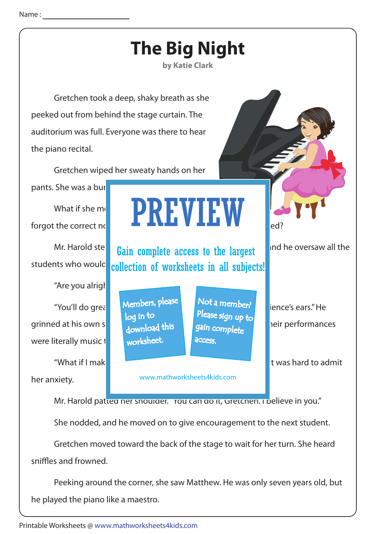

 Peeking around the corner, she saw Matthew. He was only seven years old, but he played the piano like a maestro.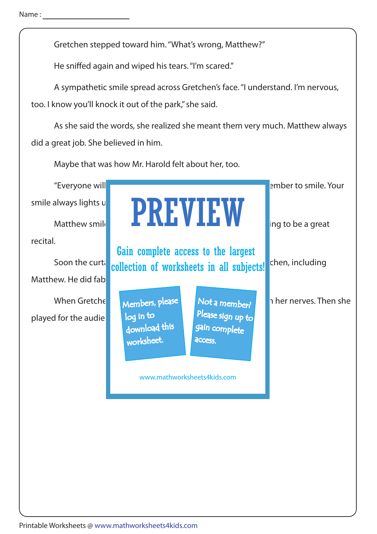Gretchen stepped toward him. "What's wrong, Matthew?"

He sniffed again and wiped his tears. "I'm scared."

 A sympathetic smile spread across Gretchen's face. "I understand. I'm nervous, too. I know you'll knock it out of the park," she said.

 As she said the words, she realized she meant them very much. Matthew always did a great job. She believed in him.

Maybe that was how Mr. Harold felt about her, too.

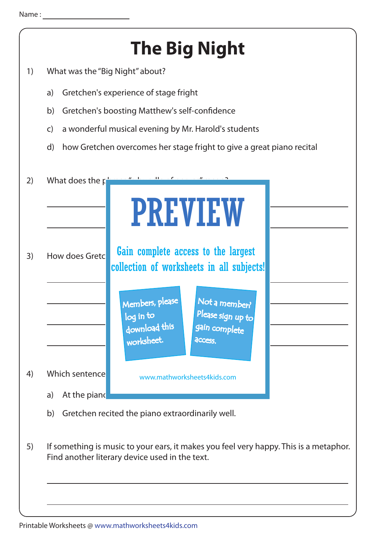